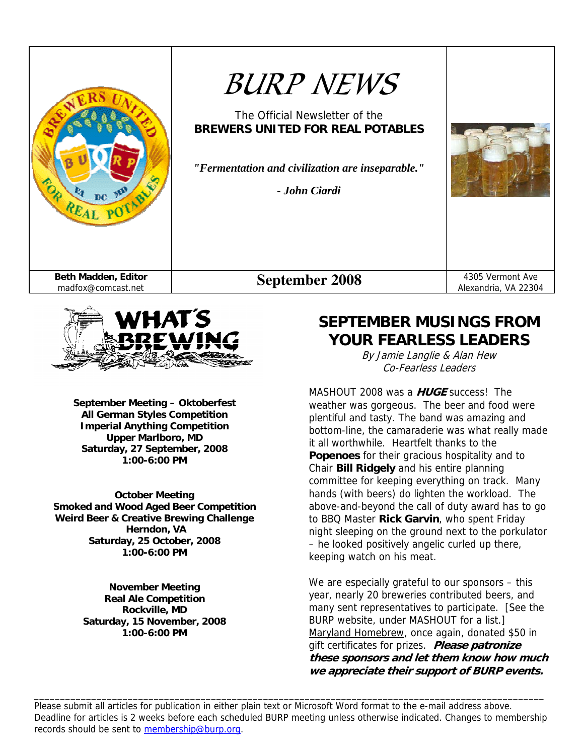



**September Meeting – Oktoberfest All German Styles Competition Imperial Anything Competition Upper Marlboro, MD Saturday, 27 September, 2008 1:00-6:00 PM** 

**October Meeting Smoked and Wood Aged Beer Competition Weird Beer & Creative Brewing Challenge Herndon, VA Saturday, 25 October, 2008 1:00-6:00 PM** 

> **November Meeting Real Ale Competition Rockville, MD Saturday, 15 November, 2008 1:00-6:00 PM**

# **SEPTEMBER MUSINGS FROM YOUR FEARLESS LEADERS**

By Jamie Langlie & Alan Hew Co-Fearless Leaders

MASHOUT 2008 was a **HUGE** success! The weather was gorgeous. The beer and food were plentiful and tasty. The band was amazing and bottom-line, the camaraderie was what really made it all worthwhile. Heartfelt thanks to the **Popenoes** for their gracious hospitality and to Chair **Bill Ridgely** and his entire planning committee for keeping everything on track. Many hands (with beers) do lighten the workload. The above-and-beyond the call of duty award has to go to BBQ Master **Rick Garvin**, who spent Friday night sleeping on the ground next to the porkulator – he looked positively angelic curled up there, keeping watch on his meat.

We are especially grateful to our sponsors – this year, nearly 20 breweries contributed beers, and many sent representatives to participate. [See the BURP website, under MASHOUT for a list.] Maryland Homebrew, once again, donated \$50 in gift certificates for prizes. **Please patronize these sponsors and let them know how much we appreciate their support of BURP events.**

Please submit all articles for publication in either plain text or Microsoft Word format to the e-mail address above. Deadline for articles is 2 weeks before each scheduled BURP meeting unless otherwise indicated. Changes to membership records should be sent to membership@burp.org.

\_\_\_\_\_\_\_\_\_\_\_\_\_\_\_\_\_\_\_\_\_\_\_\_\_\_\_\_\_\_\_\_\_\_\_\_\_\_\_\_\_\_\_\_\_\_\_\_\_\_\_\_\_\_\_\_\_\_\_\_\_\_\_\_\_\_\_\_\_\_\_\_\_\_\_\_\_\_\_\_\_\_\_\_\_\_\_\_\_\_\_\_\_\_\_\_\_\_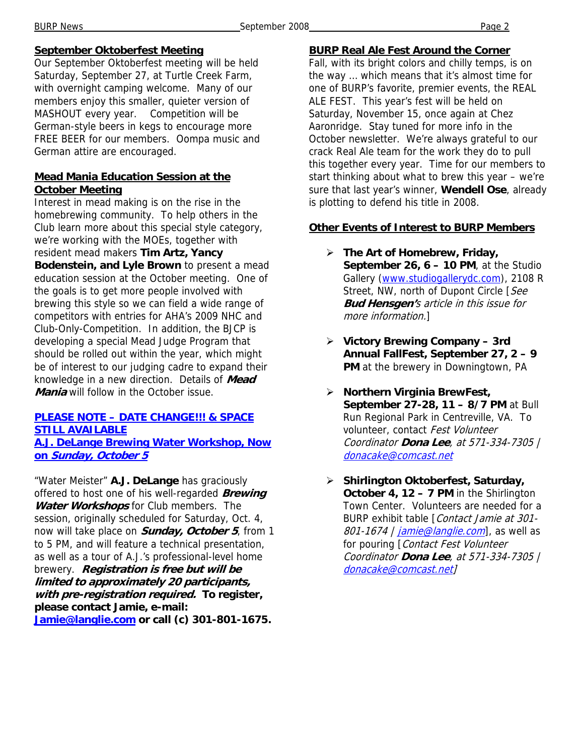#### **September Oktoberfest Meeting**

Our September Oktoberfest meeting will be held Saturday, September 27, at Turtle Creek Farm, with overnight camping welcome. Many of our members enjoy this smaller, quieter version of MASHOUT every year. Competition will be German-style beers in kegs to encourage more FREE BEER for our members. Oompa music and German attire are encouraged.

#### **Mead Mania Education Session at the October Meeting**

Interest in mead making is on the rise in the homebrewing community. To help others in the Club learn more about this special style category, we're working with the MOEs, together with resident mead makers **Tim Artz, Yancy Bodenstein, and Lyle Brown** to present a mead education session at the October meeting. One of the goals is to get more people involved with brewing this style so we can field a wide range of competitors with entries for AHA's 2009 NHC and Club-Only-Competition. In addition, the BJCP is developing a special Mead Judge Program that should be rolled out within the year, which might be of interest to our judging cadre to expand their knowledge in a new direction. Details of **Mead Mania** will follow in the October issue.

#### **PLEASE NOTE – DATE CHANGE!!! & SPACE STILL AVAILABLE**

**A.J. DeLange Brewing Water Workshop, Now on Sunday, October 5** 

"Water Meister" **A.J. DeLange** has graciously offered to host one of his well-regarded **Brewing Water Workshops** for Club members. The session, originally scheduled for Saturday, Oct. 4, now will take place on **Sunday, October 5**, from 1 to 5 PM, and will feature a technical presentation, as well as a tour of A.J.'s professional-level home brewery. **Registration is free but will be limited to approximately 20 participants, with pre-registration required. To register, please contact Jamie, e-mail: Jamie@langlie.com or call (c) 301-801-1675.** 

#### **BURP Real Ale Fest Around the Corner**

Fall, with its bright colors and chilly temps, is on the way … which means that it's almost time for one of BURP's favorite, premier events, the REAL ALE FEST. This year's fest will be held on Saturday, November 15, once again at Chez Aaronridge. Stay tuned for more info in the October newsletter. We're always grateful to our crack Real Ale team for the work they do to pull this together every year. Time for our members to start thinking about what to brew this year – we're sure that last year's winner, **Wendell Ose**, already is plotting to defend his title in 2008.

#### **Other Events of Interest to BURP Members**

- ¾ **The Art of Homebrew, Friday, September 26, 6 – 10 PM**, at the Studio Gallery (www.studiogallerydc.com), 2108 R Street, NW, north of Dupont Circle [See **Bud Hensgen'**s article in this issue for more information.]
- ¾ **Victory Brewing Company 3rd Annual FallFest, September 27, 2 – 9 PM** at the brewery in Downingtown, PA
- ¾ **Northern Virginia BrewFest, September 27-28, 11 – 8/7 PM** at Bull Run Regional Park in Centreville, VA. To volunteer, contact Fest Volunteer Coordinator **Dona Lee**, at 571-334-7305 | donacake@comcast.net
- ¾ **Shirlington Oktoberfest, Saturday, October 4, 12 – 7 PM** in the Shirlington Town Center. Volunteers are needed for a BURP exhibit table [Contact Jamie at 301- 801-1674 | *jamie@langlie.com*], as well as for pouring [Contact Fest Volunteer Coordinator **Dona Lee**, at 571-334-7305 | donacake@comcast.net]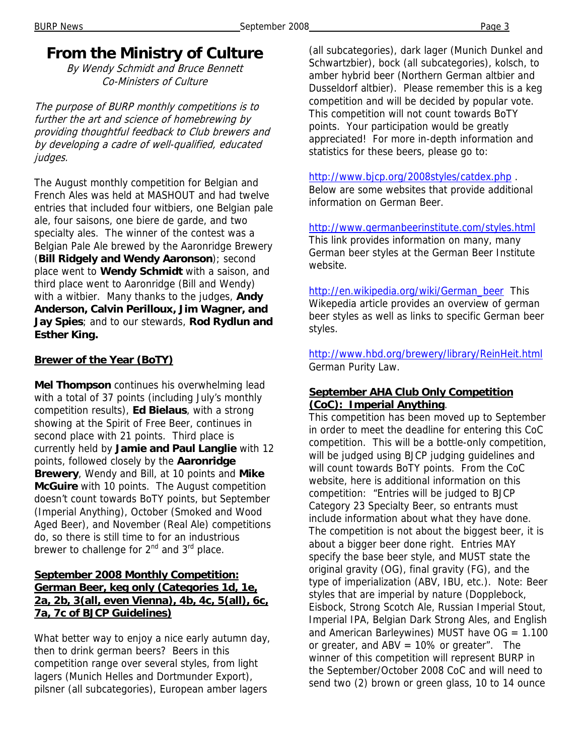## **From the Ministry of Culture**

By Wendy Schmidt and Bruce Bennett Co-Ministers of Culture

The purpose of BURP monthly competitions is to further the art and science of homebrewing by providing thoughtful feedback to Club brewers and by developing a cadre of well-qualified, educated judges.

The August monthly competition for Belgian and French Ales was held at MASHOUT and had twelve entries that included four witbiers, one Belgian pale ale, four saisons, one biere de garde, and two specialty ales. The winner of the contest was a Belgian Pale Ale brewed by the Aaronridge Brewery (**Bill Ridgely and Wendy Aaronson**); second place went to **Wendy Schmidt** with a saison, and third place went to Aaronridge (Bill and Wendy) with a witbier. Many thanks to the judges, **Andy Anderson, Calvin Perilloux, Jim Wagner, and Jay Spies**; and to our stewards, **Rod Rydlun and Esther King.** 

#### **Brewer of the Year (BoTY)**

**Mel Thompson** continues his overwhelming lead with a total of 37 points (including July's monthly competition results), **Ed Bielaus**, with a strong showing at the Spirit of Free Beer, continues in second place with 21 points. Third place is currently held by **Jamie and Paul Langlie** with 12 points, followed closely by the **Aaronridge Brewery**, Wendy and Bill, at 10 points and **Mike McGuire** with 10 points. The August competition doesn't count towards BoTY points, but September (Imperial Anything), October (Smoked and Wood Aged Beer), and November (Real Ale) competitions do, so there is still time to for an industrious brewer to challenge for 2<sup>nd</sup> and 3<sup>rd</sup> place.

#### **September 2008 Monthly Competition: German Beer, keg only (Categories 1d, 1e, 2a, 2b, 3(all, even Vienna), 4b, 4c, 5(all), 6c, 7a, 7c of BJCP Guidelines)**

What better way to enjoy a nice early autumn day, then to drink german beers? Beers in this competition range over several styles, from light lagers (Munich Helles and Dortmunder Export), pilsner (all subcategories), European amber lagers

(all subcategories), dark lager (Munich Dunkel and Schwartzbier), bock (all subcategories), kolsch, to amber hybrid beer (Northern German altbier and Dusseldorf altbier). Please remember this is a keg competition and will be decided by popular vote. This competition will not count towards BoTY points. Your participation would be greatly appreciated! For more in-depth information and statistics for these beers, please go to:

#### http://www.bjcp.org/2008styles/catdex.php .

Below are some websites that provide additional information on German Beer.

http://www.germanbeerinstitute.com/styles.html This link provides information on many, many German beer styles at the German Beer Institute website.

http://en.wikipedia.org/wiki/German\_beer This Wikepedia article provides an overview of german beer styles as well as links to specific German beer styles.

http://www.hbd.org/brewery/library/ReinHeit.html German Purity Law.

#### **September AHA Club Only Competition (CoC): Imperial Anything**.

This competition has been moved up to September in order to meet the deadline for entering this CoC competition. This will be a bottle-only competition, will be judged using BJCP judging guidelines and will count towards BoTY points. From the CoC website, here is additional information on this competition: "Entries will be judged to BJCP Category 23 Specialty Beer, so entrants must include information about what they have done. The competition is not about the biggest beer, it is about a bigger beer done right. Entries MAY specify the base beer style, and MUST state the original gravity (OG), final gravity (FG), and the type of imperialization (ABV, IBU, etc.). Note: Beer styles that are imperial by nature (Dopplebock, Eisbock, Strong Scotch Ale, Russian Imperial Stout, Imperial IPA, Belgian Dark Strong Ales, and English and American Barleywines) MUST have  $OG = 1.100$ or greater, and  $ABV = 10\%$  or greater". The winner of this competition will represent BURP in the September/October 2008 CoC and will need to send two (2) brown or green glass, 10 to 14 ounce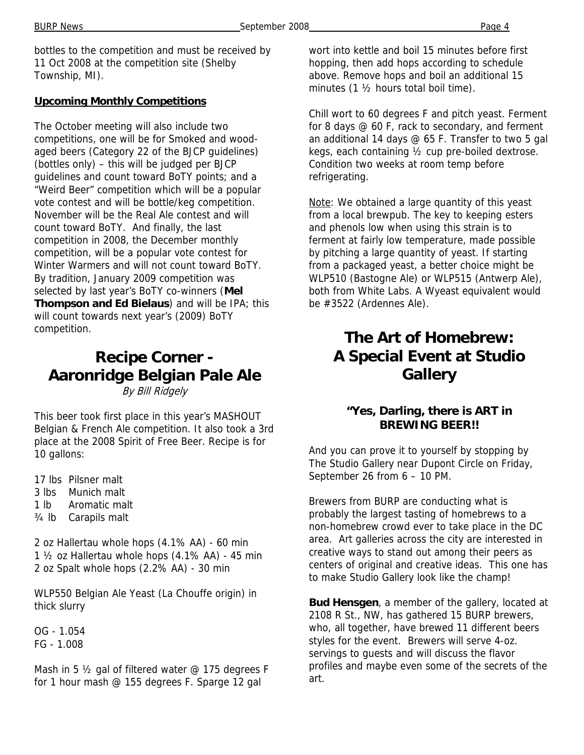bottles to the competition and must be received by 11 Oct 2008 at the competition site (Shelby Township, MI).

#### **Upcoming Monthly Competitions**

The October meeting will also include two competitions, one will be for Smoked and woodaged beers (Category 22 of the BJCP guidelines) (bottles only) – this will be judged per BJCP guidelines and count toward BoTY points; and a "Weird Beer" competition which will be a popular vote contest and will be bottle/keg competition. November will be the Real Ale contest and will count toward BoTY. And finally, the last competition in 2008, the December monthly competition, will be a popular vote contest for Winter Warmers and will not count toward BoTY. By tradition, January 2009 competition was selected by last year's BoTY co-winners (**Mel Thompson and Ed Bielaus**) and will be IPA; this will count towards next year's (2009) BoTY competition.

### **Recipe Corner - Aaronridge Belgian Pale Ale**  By Bill Ridgely

This beer took first place in this year's MASHOUT Belgian & French Ale competition. It also took a 3rd place at the 2008 Spirit of Free Beer. Recipe is for 10 gallons:

17 lbs Pilsner malt 3 lbs Munich malt 1 lb Aromatic malt ¾ lb Carapils malt

2 oz Hallertau whole hops (4.1% AA) - 60 min 1 ½ oz Hallertau whole hops (4.1% AA) - 45 min 2 oz Spalt whole hops (2.2% AA) - 30 min

WLP550 Belgian Ale Yeast (La Chouffe origin) in thick slurry

OG - 1.054 FG - 1.008

Mash in 5  $\frac{1}{2}$  gal of filtered water @ 175 degrees F for 1 hour mash @ 155 degrees F. Sparge 12 gal

wort into kettle and boil 15 minutes before first hopping, then add hops according to schedule above. Remove hops and boil an additional 15 minutes (1 ½ hours total boil time).

Chill wort to 60 degrees F and pitch yeast. Ferment for 8 days @ 60 F, rack to secondary, and ferment an additional 14 days @ 65 F. Transfer to two 5 gal kegs, each containing ½ cup pre-boiled dextrose. Condition two weeks at room temp before refrigerating.

Note: We obtained a large quantity of this yeast from a local brewpub. The key to keeping esters and phenols low when using this strain is to ferment at fairly low temperature, made possible by pitching a large quantity of yeast. If starting from a packaged yeast, a better choice might be WLP510 (Bastogne Ale) or WLP515 (Antwerp Ale), both from White Labs. A Wyeast equivalent would be #3522 (Ardennes Ale).

# **The Art of Homebrew: A Special Event at Studio Gallery**

#### **"Yes, Darling, there is ART in BREWING BEER!!**

And you can prove it to yourself by stopping by The Studio Gallery near Dupont Circle on Friday, September 26 from 6 – 10 PM.

Brewers from BURP are conducting what is probably the largest tasting of homebrews to a non-homebrew crowd ever to take place in the DC area. Art galleries across the city are interested in creative ways to stand out among their peers as centers of original and creative ideas. This one has to make Studio Gallery look like the champ!

**Bud Hensgen**, a member of the gallery, located at 2108 R St., NW, has gathered 15 BURP brewers, who, all together, have brewed 11 different beers styles for the event. Brewers will serve 4-oz. servings to guests and will discuss the flavor profiles and maybe even some of the secrets of the art.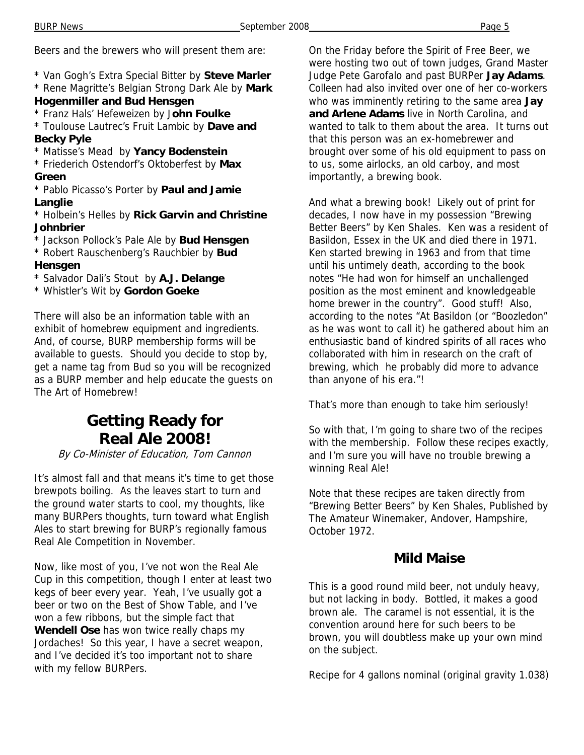Beers and the brewers who will present them are:

- \* Van Gogh's Extra Special Bitter by **Steve Marler**
- \* Rene Magritte's Belgian Strong Dark Ale by **Mark Hogenmiller and Bud Hensgen**
- \* Franz Hals' Hefeweizen by J**ohn Foulke**

\* Toulouse Lautrec's Fruit Lambic by **Dave and Becky Pyle** 

\* Matisse's Mead by **Yancy Bodenstein**

\* Friederich Ostendorf's Oktoberfest by **Max Green**

\* Pablo Picasso's Porter by **Paul and Jamie Langlie** 

- \* Holbein's Helles by **Rick Garvin and Christine Johnbrier**
- \* Jackson Pollock's Pale Ale by **Bud Hensgen**
- \* Robert Rauschenberg's Rauchbier by **Bud Hensgen**
- \* Salvador Dali's Stout by **A.J. Delange**
- \* Whistler's Wit by **Gordon Goeke**

There will also be an information table with an exhibit of homebrew equipment and ingredients. And, of course, BURP membership forms will be available to guests. Should you decide to stop by, get a name tag from Bud so you will be recognized as a BURP member and help educate the guests on The Art of Homebrew!

## **Getting Ready for Real Ale 2008!**

#### By Co-Minister of Education, Tom Cannon

It's almost fall and that means it's time to get those brewpots boiling. As the leaves start to turn and the ground water starts to cool, my thoughts, like many BURPers thoughts, turn toward what English Ales to start brewing for BURP's regionally famous Real Ale Competition in November.

Now, like most of you, I've not won the Real Ale Cup in this competition, though I enter at least two kegs of beer every year. Yeah, I've usually got a beer or two on the Best of Show Table, and I've won a few ribbons, but the simple fact that **Wendell Ose** has won twice really chaps my Jordaches! So this year, I have a secret weapon, and I've decided it's too important not to share with my fellow BURPers.

On the Friday before the Spirit of Free Beer, we were hosting two out of town judges, Grand Master Judge Pete Garofalo and past BURPer **Jay Adams**. Colleen had also invited over one of her co-workers who was imminently retiring to the same area **Jay and Arlene Adams** live in North Carolina, and wanted to talk to them about the area. It turns out that this person was an ex-homebrewer and brought over some of his old equipment to pass on to us, some airlocks, an old carboy, and most importantly, a brewing book.

And what a brewing book! Likely out of print for decades, I now have in my possession "Brewing Better Beers" by Ken Shales. Ken was a resident of Basildon, Essex in the UK and died there in 1971. Ken started brewing in 1963 and from that time until his untimely death, according to the book notes "He had won for himself an unchallenged position as the most eminent and knowledgeable home brewer in the country". Good stuff! Also, according to the notes "At Basildon (or "Boozledon" as he was wont to call it) he gathered about him an enthusiastic band of kindred spirits of all races who collaborated with him in research on the craft of brewing, which he probably did more to advance than anyone of his era."!

That's more than enough to take him seriously!

So with that, I'm going to share two of the recipes with the membership. Follow these recipes exactly, and I'm sure you will have no trouble brewing a winning Real Ale!

Note that these recipes are taken directly from "Brewing Better Beers" by Ken Shales, Published by The Amateur Winemaker, Andover, Hampshire, October 1972.

#### **Mild Maise**

This is a good round mild beer, not unduly heavy, but not lacking in body. Bottled, it makes a good brown ale. The caramel is not essential, it is the convention around here for such beers to be brown, you will doubtless make up your own mind on the subject.

Recipe for 4 gallons nominal (original gravity 1.038)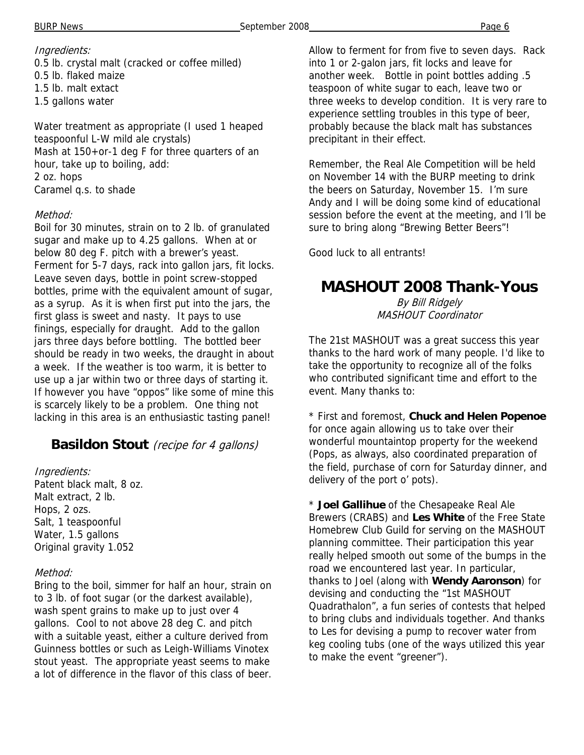#### Ingredients:

0.5 lb. crystal malt (cracked or coffee milled) 0.5 lb. flaked maize 1.5 lb. malt extact 1.5 gallons water

Water treatment as appropriate (I used 1 heaped teaspoonful L-W mild ale crystals) Mash at 150+or-1 deg F for three quarters of an hour, take up to boiling, add: 2 oz. hops Caramel q.s. to shade

#### Method:

Boil for 30 minutes, strain on to 2 lb. of granulated sugar and make up to 4.25 gallons. When at or below 80 deg F. pitch with a brewer's yeast. Ferment for 5-7 days, rack into gallon jars, fit locks. Leave seven days, bottle in point screw-stopped bottles, prime with the equivalent amount of sugar, as a syrup. As it is when first put into the jars, the first glass is sweet and nasty. It pays to use finings, especially for draught. Add to the gallon jars three days before bottling. The bottled beer should be ready in two weeks, the draught in about a week. If the weather is too warm, it is better to use up a jar within two or three days of starting it. If however you have "oppos" like some of mine this is scarcely likely to be a problem. One thing not lacking in this area is an enthusiastic tasting panel!

### **Basildon Stout** (recipe for 4 gallons)

#### Ingredients:

Patent black malt, 8 oz. Malt extract, 2 lb. Hops, 2 ozs. Salt, 1 teaspoonful Water, 1.5 gallons Original gravity 1.052

#### Method:

Bring to the boil, simmer for half an hour, strain on to 3 lb. of foot sugar (or the darkest available), wash spent grains to make up to just over 4 gallons. Cool to not above 28 deg C. and pitch with a suitable yeast, either a culture derived from Guinness bottles or such as Leigh-Williams Vinotex stout yeast. The appropriate yeast seems to make a lot of difference in the flavor of this class of beer.

Allow to ferment for from five to seven days. Rack into 1 or 2-galon jars, fit locks and leave for another week. Bottle in point bottles adding .5 teaspoon of white sugar to each, leave two or three weeks to develop condition. It is very rare to experience settling troubles in this type of beer, probably because the black malt has substances precipitant in their effect.

Remember, the Real Ale Competition will be held on November 14 with the BURP meeting to drink the beers on Saturday, November 15. I'm sure Andy and I will be doing some kind of educational session before the event at the meeting, and I'll be sure to bring along "Brewing Better Beers"!

Good luck to all entrants!

## **MASHOUT 2008 Thank-Yous**

By Bill Ridgely MASHOUT Coordinator

The 21st MASHOUT was a great success this year thanks to the hard work of many people. I'd like to take the opportunity to recognize all of the folks who contributed significant time and effort to the event. Many thanks to:

\* First and foremost, **Chuck and Helen Popenoe** for once again allowing us to take over their wonderful mountaintop property for the weekend (Pops, as always, also coordinated preparation of the field, purchase of corn for Saturday dinner, and delivery of the port o' pots).

\* **Joel Gallihue** of the Chesapeake Real Ale Brewers (CRABS) and **Les White** of the Free State Homebrew Club Guild for serving on the MASHOUT planning committee. Their participation this year really helped smooth out some of the bumps in the road we encountered last year. In particular, thanks to Joel (along with **Wendy Aaronson**) for devising and conducting the "1st MASHOUT Quadrathalon", a fun series of contests that helped to bring clubs and individuals together. And thanks to Les for devising a pump to recover water from keg cooling tubs (one of the ways utilized this year to make the event "greener").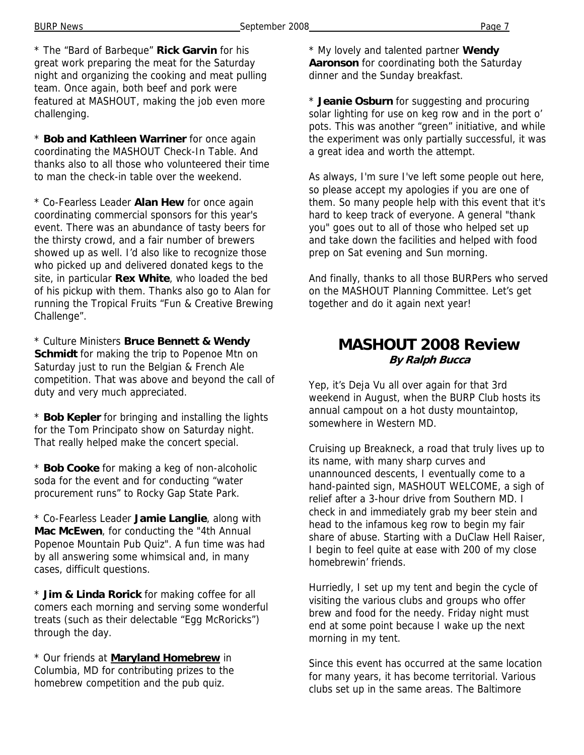\* The "Bard of Barbeque" **Rick Garvin** for his great work preparing the meat for the Saturday night and organizing the cooking and meat pulling team. Once again, both beef and pork were featured at MASHOUT, making the job even more challenging.

\* **Bob and Kathleen Warriner** for once again coordinating the MASHOUT Check-In Table. And thanks also to all those who volunteered their time to man the check-in table over the weekend.

\* Co-Fearless Leader **Alan Hew** for once again coordinating commercial sponsors for this year's event. There was an abundance of tasty beers for the thirsty crowd, and a fair number of brewers showed up as well. I'd also like to recognize those who picked up and delivered donated kegs to the site, in particular **Rex White**, who loaded the bed of his pickup with them. Thanks also go to Alan for running the Tropical Fruits "Fun & Creative Brewing Challenge".

\* Culture Ministers **Bruce Bennett & Wendy Schmidt** for making the trip to Popenoe Mtn on Saturday just to run the Belgian & French Ale competition. That was above and beyond the call of duty and very much appreciated.

\* **Bob Kepler** for bringing and installing the lights for the Tom Principato show on Saturday night. That really helped make the concert special.

\* **Bob Cooke** for making a keg of non-alcoholic soda for the event and for conducting "water procurement runs" to Rocky Gap State Park.

\* Co-Fearless Leader **Jamie Langlie**, along with **Mac McEwen**, for conducting the "4th Annual Popenoe Mountain Pub Quiz". A fun time was had by all answering some whimsical and, in many cases, difficult questions.

\* **Jim & Linda Rorick** for making coffee for all comers each morning and serving some wonderful treats (such as their delectable "Egg McRoricks") through the day.

\* Our friends at **Maryland Homebrew** in Columbia, MD for contributing prizes to the homebrew competition and the pub quiz.

\* My lovely and talented partner **Wendy Aaronson** for coordinating both the Saturday dinner and the Sunday breakfast.

\* **Jeanie Osburn** for suggesting and procuring solar lighting for use on keg row and in the port o' pots. This was another "green" initiative, and while the experiment was only partially successful, it was a great idea and worth the attempt.

As always, I'm sure I've left some people out here, so please accept my apologies if you are one of them. So many people help with this event that it's hard to keep track of everyone. A general "thank you" goes out to all of those who helped set up and take down the facilities and helped with food prep on Sat evening and Sun morning.

And finally, thanks to all those BURPers who served on the MASHOUT Planning Committee. Let's get together and do it again next year!

### **MASHOUT 2008 Review By Ralph Bucca**

Yep, it's Deja Vu all over again for that 3rd weekend in August, when the BURP Club hosts its annual campout on a hot dusty mountaintop, somewhere in Western MD.

Cruising up Breakneck, a road that truly lives up to its name, with many sharp curves and unannounced descents, I eventually come to a hand-painted sign, MASHOUT WELCOME, a sigh of relief after a 3-hour drive from Southern MD. I check in and immediately grab my beer stein and head to the infamous keg row to begin my fair share of abuse. Starting with a DuClaw Hell Raiser, I begin to feel quite at ease with 200 of my close homebrewin' friends.

Hurriedly, I set up my tent and begin the cycle of visiting the various clubs and groups who offer brew and food for the needy. Friday night must end at some point because I wake up the next morning in my tent.

Since this event has occurred at the same location for many years, it has become territorial. Various clubs set up in the same areas. The Baltimore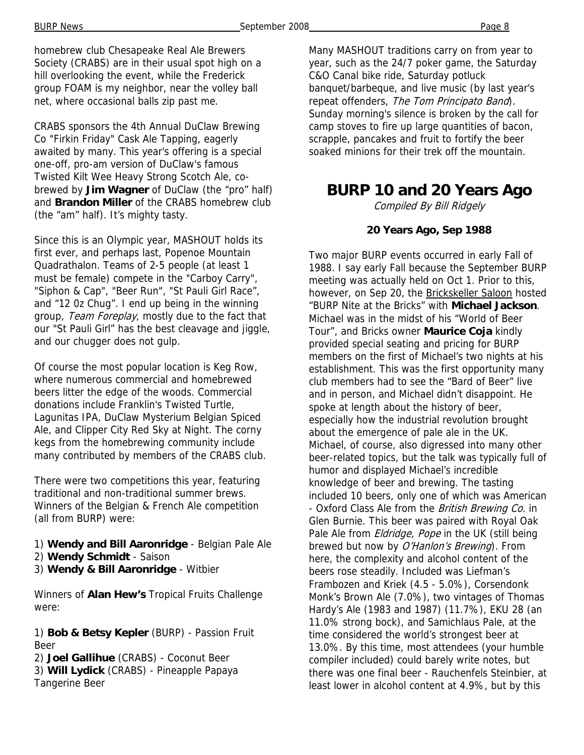homebrew club Chesapeake Real Ale Brewers Society (CRABS) are in their usual spot high on a hill overlooking the event, while the Frederick group FOAM is my neighbor, near the volley ball net, where occasional balls zip past me.

CRABS sponsors the 4th Annual DuClaw Brewing Co "Firkin Friday" Cask Ale Tapping, eagerly awaited by many. This year's offering is a special one-off, pro-am version of DuClaw's famous Twisted Kilt Wee Heavy Strong Scotch Ale, cobrewed by **Jim Wagner** of DuClaw (the "pro" half) and **Brandon Miller** of the CRABS homebrew club (the "am" half). It's mighty tasty.

Since this is an Olympic year, MASHOUT holds its first ever, and perhaps last, Popenoe Mountain Quadrathalon. Teams of 2-5 people (at least 1 must be female) compete in the "Carboy Carry", "Siphon & Cap", "Beer Run", "St Pauli Girl Race", and "12 0z Chug". I end up being in the winning group, Team Foreplay, mostly due to the fact that our "St Pauli Girl" has the best cleavage and jiggle, and our chugger does not gulp.

Of course the most popular location is Keg Row, where numerous commercial and homebrewed beers litter the edge of the woods. Commercial donations include Franklin's Twisted Turtle, Lagunitas IPA, DuClaw Mysterium Belgian Spiced Ale, and Clipper City Red Sky at Night. The corny kegs from the homebrewing community include many contributed by members of the CRABS club.

There were two competitions this year, featuring traditional and non-traditional summer brews. Winners of the Belgian & French Ale competition (all from BURP) were:

- 1) **Wendy and Bill Aaronridge** Belgian Pale Ale
- 2) **Wendy Schmidt** Saison
- 3) **Wendy & Bill Aaronridge** Witbier

Winners of **Alan Hew's** Tropical Fruits Challenge were:

1) **Bob & Betsy Kepler** (BURP) - Passion Fruit Beer

2) **Joel Gallihue** (CRABS) - Coconut Beer 3) **Will Lydick** (CRABS) - Pineapple Papaya Tangerine Beer

Many MASHOUT traditions carry on from year to year, such as the 24/7 poker game, the Saturday C&O Canal bike ride, Saturday potluck banquet/barbeque, and live music (by last year's repeat offenders, The Tom Principato Band). Sunday morning's silence is broken by the call for camp stoves to fire up large quantities of bacon, scrapple, pancakes and fruit to fortify the beer soaked minions for their trek off the mountain.

### **BURP 10 and 20 Years Ago**

Compiled By Bill Ridgely

#### **20 Years Ago, Sep 1988**

Two major BURP events occurred in early Fall of 1988. I say early Fall because the September BURP meeting was actually held on Oct 1. Prior to this, however, on Sep 20, the Brickskeller Saloon hosted "BURP Nite at the Bricks" with **Michael Jackson**. Michael was in the midst of his "World of Beer Tour", and Bricks owner **Maurice Coja** kindly provided special seating and pricing for BURP members on the first of Michael's two nights at his establishment. This was the first opportunity many club members had to see the "Bard of Beer" live and in person, and Michael didn't disappoint. He spoke at length about the history of beer, especially how the industrial revolution brought about the emergence of pale ale in the UK. Michael, of course, also digressed into many other beer-related topics, but the talk was typically full of humor and displayed Michael's incredible knowledge of beer and brewing. The tasting included 10 beers, only one of which was American - Oxford Class Ale from the British Brewing Co. in Glen Burnie. This beer was paired with Royal Oak Pale Ale from *Eldridge, Pope* in the UK (still being brewed but now by O'Hanlon's Brewing). From here, the complexity and alcohol content of the beers rose steadily. Included was Liefman's Frambozen and Kriek (4.5 - 5.0%), Corsendonk Monk's Brown Ale (7.0%), two vintages of Thomas Hardy's Ale (1983 and 1987) (11.7%), EKU 28 (an 11.0% strong bock), and Samichlaus Pale, at the time considered the world's strongest beer at 13.0%. By this time, most attendees (your humble compiler included) could barely write notes, but there was one final beer - Rauchenfels Steinbier, at least lower in alcohol content at 4.9%, but by this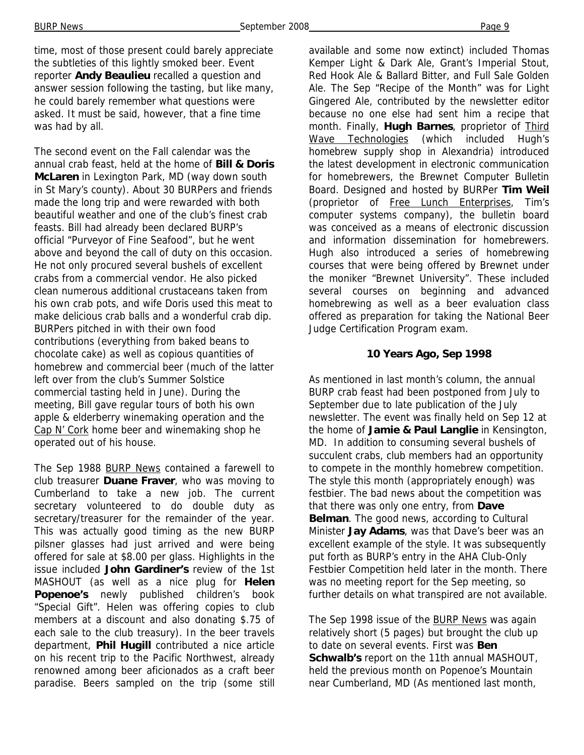time, most of those present could barely appreciate the subtleties of this lightly smoked beer. Event reporter **Andy Beaulieu** recalled a question and answer session following the tasting, but like many, he could barely remember what questions were asked. It must be said, however, that a fine time was had by all.

The second event on the Fall calendar was the annual crab feast, held at the home of **Bill & Doris McLaren** in Lexington Park, MD (way down south in St Mary's county). About 30 BURPers and friends made the long trip and were rewarded with both beautiful weather and one of the club's finest crab feasts. Bill had already been declared BURP's official "Purveyor of Fine Seafood", but he went above and beyond the call of duty on this occasion. He not only procured several bushels of excellent crabs from a commercial vendor. He also picked clean numerous additional crustaceans taken from his own crab pots, and wife Doris used this meat to make delicious crab balls and a wonderful crab dip. BURPers pitched in with their own food contributions (everything from baked beans to chocolate cake) as well as copious quantities of homebrew and commercial beer (much of the latter left over from the club's Summer Solstice commercial tasting held in June). During the meeting, Bill gave regular tours of both his own apple & elderberry winemaking operation and the Cap N' Cork home beer and winemaking shop he operated out of his house.

The Sep 1988 BURP News contained a farewell to club treasurer **Duane Fraver**, who was moving to Cumberland to take a new job. The current secretary volunteered to do double duty as secretary/treasurer for the remainder of the year. This was actually good timing as the new BURP pilsner glasses had just arrived and were being offered for sale at \$8.00 per glass. Highlights in the issue included **John Gardiner's** review of the 1st MASHOUT (as well as a nice plug for **Helen Popenoe's** newly published children's book "Special Gift". Helen was offering copies to club members at a discount and also donating \$.75 of each sale to the club treasury). In the beer travels department, **Phil Hugill** contributed a nice article on his recent trip to the Pacific Northwest, already renowned among beer aficionados as a craft beer paradise. Beers sampled on the trip (some still available and some now extinct) included Thomas Kemper Light & Dark Ale, Grant's Imperial Stout, Red Hook Ale & Ballard Bitter, and Full Sale Golden Ale. The Sep "Recipe of the Month" was for Light Gingered Ale, contributed by the newsletter editor because no one else had sent him a recipe that month. Finally, **Hugh Barnes**, proprietor of Third Wave Technologies (which included Hugh's homebrew supply shop in Alexandria) introduced the latest development in electronic communication for homebrewers, the Brewnet Computer Bulletin Board. Designed and hosted by BURPer **Tim Weil**  (proprietor of Free Lunch Enterprises, Tim's computer systems company), the bulletin board was conceived as a means of electronic discussion and information dissemination for homebrewers. Hugh also introduced a series of homebrewing courses that were being offered by Brewnet under the moniker "Brewnet University". These included several courses on beginning and advanced homebrewing as well as a beer evaluation class offered as preparation for taking the National Beer Judge Certification Program exam.

#### **10 Years Ago, Sep 1998**

As mentioned in last month's column, the annual BURP crab feast had been postponed from July to September due to late publication of the July newsletter. The event was finally held on Sep 12 at the home of **Jamie & Paul Langlie** in Kensington, MD. In addition to consuming several bushels of succulent crabs, club members had an opportunity to compete in the monthly homebrew competition. The style this month (appropriately enough) was festbier. The bad news about the competition was that there was only one entry, from **Dave Belman**. The good news, according to Cultural Minister **Jay Adams**, was that Dave's beer was an excellent example of the style. It was subsequently put forth as BURP's entry in the AHA Club-Only Festbier Competition held later in the month. There was no meeting report for the Sep meeting, so further details on what transpired are not available.

The Sep 1998 issue of the BURP News was again relatively short (5 pages) but brought the club up to date on several events. First was **Ben Schwalb's** report on the 11th annual MASHOUT, held the previous month on Popenoe's Mountain near Cumberland, MD (As mentioned last month,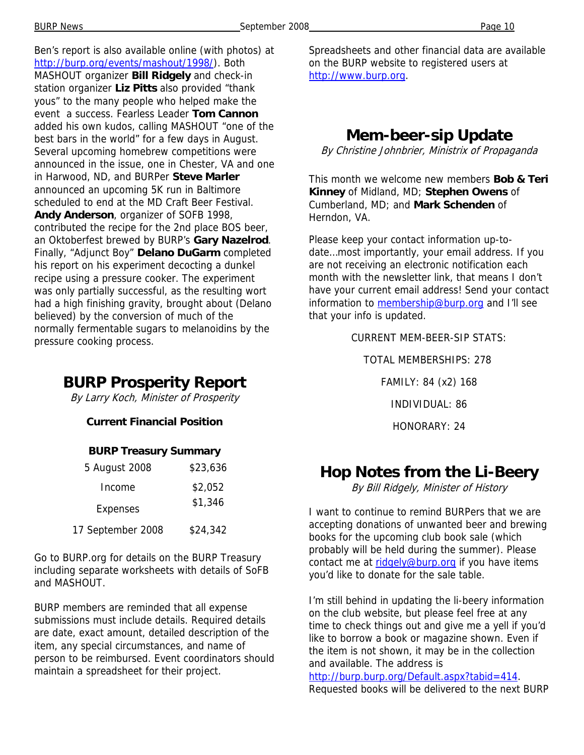Ben's report is also available online (with photos) at http://burp.org/events/mashout/1998/). Both MASHOUT organizer **Bill Ridgely** and check-in station organizer **Liz Pitts** also provided "thank yous" to the many people who helped make the event a success. Fearless Leader **Tom Cannon**  added his own kudos, calling MASHOUT "one of the best bars in the world" for a few days in August. Several upcoming homebrew competitions were announced in the issue, one in Chester, VA and one in Harwood, ND, and BURPer **Steve Marler**  announced an upcoming 5K run in Baltimore scheduled to end at the MD Craft Beer Festival. **Andy Anderson**, organizer of SOFB 1998, contributed the recipe for the 2nd place BOS beer, an Oktoberfest brewed by BURP's **Gary Nazelrod**. Finally, "Adjunct Boy" **Delano DuGarm** completed his report on his experiment decocting a dunkel recipe using a pressure cooker. The experiment was only partially successful, as the resulting wort had a high finishing gravity, brought about (Delano believed) by the conversion of much of the normally fermentable sugars to melanoidins by the pressure cooking process.

## **BURP Prosperity Report**

By Larry Koch, Minister of Prosperity

#### **Current Financial Position**

#### **BURP Treasury Summary**

| 5 August 2008     | \$23,636 |
|-------------------|----------|
| Income            | \$2,052  |
| <b>Expenses</b>   | \$1,346  |
| 17 September 2008 | \$24,342 |

Go to BURP.org for details on the BURP Treasury including separate worksheets with details of SoFB and MASHOUT.

BURP members are reminded that all expense submissions must include details. Required details are date, exact amount, detailed description of the item, any special circumstances, and name of person to be reimbursed. Event coordinators should maintain a spreadsheet for their project.

Spreadsheets and other financial data are available on the BURP website to registered users at http://www.burp.org.

# **Mem-beer-sip Update**

By Christine Johnbrier, Ministrix of Propaganda

This month we welcome new members **Bob & Teri Kinney** of Midland, MD; **Stephen Owens** of Cumberland, MD; and **Mark Schenden** of Herndon, VA.

Please keep your contact information up-todate…most importantly, your email address. If you are not receiving an electronic notification each month with the newsletter link, that means I don't have your current email address! Send your contact information to membership@burp.org and I'll see that your info is updated.

> CURRENT MEM-BEER-SIP STATS: TOTAL MEMBERSHIPS: 278 FAMILY: 84 (x2) 168 INDIVIDUAL: 86 HONORARY: 24

## **Hop Notes from the Li-Beery**

By Bill Ridgely, Minister of History

I want to continue to remind BURPers that we are accepting donations of unwanted beer and brewing books for the upcoming club book sale (which probably will be held during the summer). Please contact me at ridgely@burp.org if you have items you'd like to donate for the sale table.

I'm still behind in updating the li-beery information on the club website, but please feel free at any time to check things out and give me a yell if you'd like to borrow a book or magazine shown. Even if the item is not shown, it may be in the collection and available. The address is http://burp.burp.org/Default.aspx?tabid=414. Requested books will be delivered to the next BURP